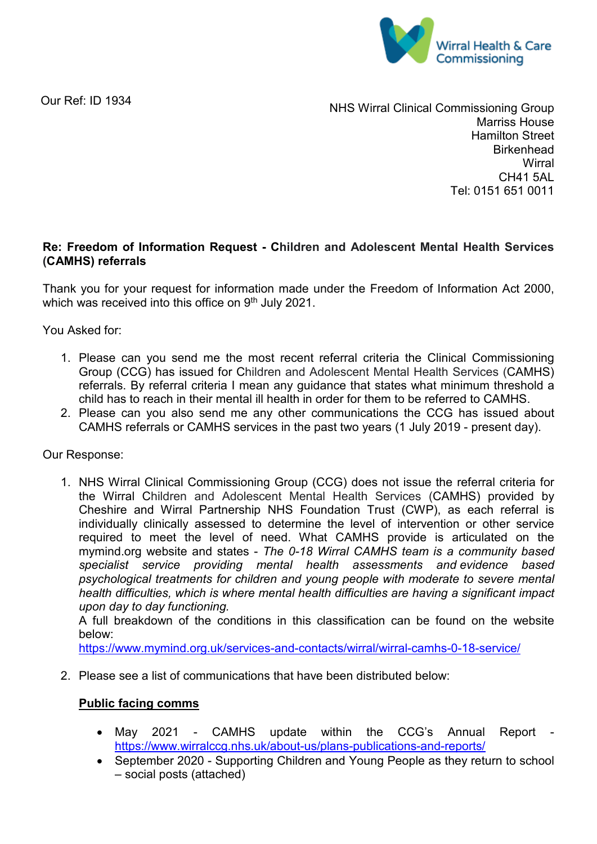

Our Ref: ID 1934

NHS Wirral Clinical Commissioning Group Marriss House Hamilton Street **Birkenhead Wirral** CH41 5AL Tel: 0151 651 0011

## **Re: Freedom of Information Request - Children and Adolescent Mental Health Services (CAMHS) referrals**

Thank you for your request for information made under the Freedom of Information Act 2000, which was received into this office on 9<sup>th</sup> July 2021.

You Asked for:

- 1. Please can you send me the most recent referral criteria the Clinical Commissioning Group (CCG) has issued for Children and Adolescent Mental Health Services (CAMHS) referrals. By referral criteria I mean any guidance that states what minimum threshold a child has to reach in their mental ill health in order for them to be referred to CAMHS.
- 2. Please can you also send me any other communications the CCG has issued about CAMHS referrals or CAMHS services in the past two years (1 July 2019 - present day).

Our Response:

1. NHS Wirral Clinical Commissioning Group (CCG) does not issue the referral criteria for the Wirral Children and Adolescent Mental Health Services (CAMHS) provided by Cheshire and Wirral Partnership NHS Foundation Trust (CWP), as each referral is individually clinically assessed to determine the level of intervention or other service required to meet the level of need. What CAMHS provide is articulated on the mymind.org website and states - *The 0-18 Wirral CAMHS team is a community based specialist service providing mental health assessments and evidence based psychological treatments for children and young people with moderate to severe mental health difficulties, which is where mental health difficulties are having a significant impact upon day to day functioning.*

A full breakdown of the conditions in this classification can be found on the website below:

<https://www.mymind.org.uk/services-and-contacts/wirral/wirral-camhs-0-18-service/>

2. Please see a list of communications that have been distributed below:

## **Public facing comms**

- May 2021 CAMHS update within the CCG's Annual Report <https://www.wirralccg.nhs.uk/about-us/plans-publications-and-reports/>
- September 2020 Supporting Children and Young People as they return to school – social posts (attached)